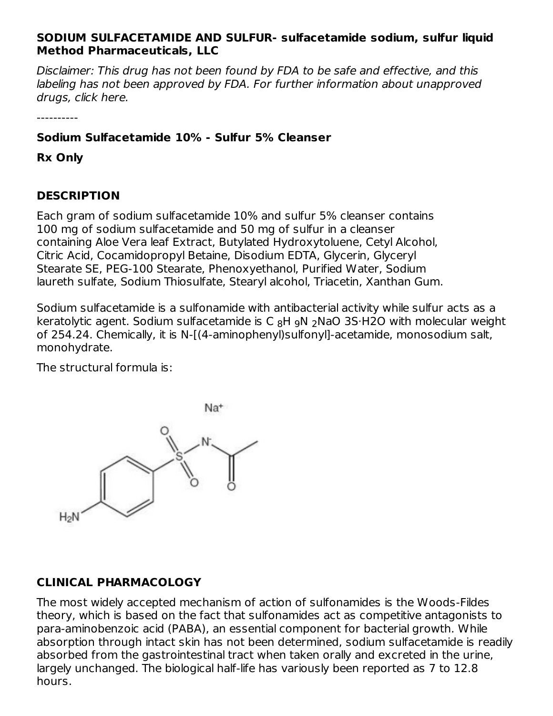## **SODIUM SULFACETAMIDE AND SULFUR- sulfacetamide sodium, sulfur liquid Method Pharmaceuticals, LLC**

Disclaimer: This drug has not been found by FDA to be safe and effective, and this labeling has not been approved by FDA. For further information about unapproved drugs, click here.

----------

# **Sodium Sulfacetamide 10% - Sulfur 5% Cleanser**

**Rx Only**

## **DESCRIPTION**

Each gram of sodium sulfacetamide 10% and sulfur 5% cleanser contains 100 mg of sodium sulfacetamide and 50 mg of sulfur in a cleanser containing Aloe Vera leaf Extract, Butylated Hydroxytoluene, Cetyl Alcohol, Citric Acid, Cocamidopropyl Betaine, Disodium EDTA, Glycerin, Glyceryl Stearate SE, PEG-100 Stearate, Phenoxyethanol, Purified Water, Sodium laureth sulfate, Sodium Thiosulfate, Stearyl alcohol, Triacetin, Xanthan Gum.

Sodium sulfacetamide is a sulfonamide with antibacterial activity while sulfur acts as a keratolytic agent. Sodium sulfacetamide is C  $_8$ H  $_2$ N $_2$ NaO 3S·H2O with molecular weight of 254.24. Chemically, it is N-[(4-aminophenyl)sulfonyl]-acetamide, monosodium salt, monohydrate.

The structural formula is:



# **CLINICAL PHARMACOLOGY**

The most widely accepted mechanism of action of sulfonamides is the Woods-Fildes theory, which is based on the fact that sulfonamides act as competitive antagonists to para-aminobenzoic acid (PABA), an essential component for bacterial growth. While absorption through intact skin has not been determined, sodium sulfacetamide is readily absorbed from the gastrointestinal tract when taken orally and excreted in the urine, largely unchanged. The biological half-life has variously been reported as 7 to 12.8 hours.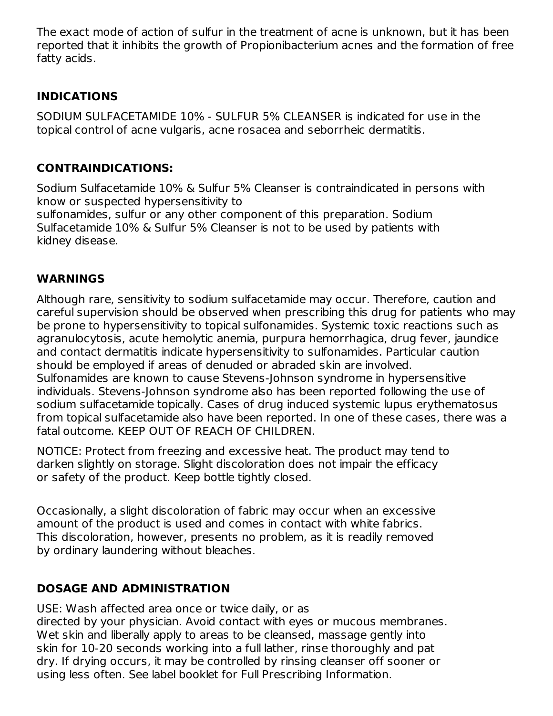The exact mode of action of sulfur in the treatment of acne is unknown, but it has been reported that it inhibits the growth of Propionibacterium acnes and the formation of free fatty acids.

# **INDICATIONS**

SODIUM SULFACETAMIDE 10% - SULFUR 5% CLEANSER is indicated for use in the topical control of acne vulgaris, acne rosacea and seborrheic dermatitis.

# **CONTRAINDICATIONS:**

Sodium Sulfacetamide 10% & Sulfur 5% Cleanser is contraindicated in persons with know or suspected hypersensitivity to sulfonamides, sulfur or any other component of this preparation. Sodium Sulfacetamide 10% & Sulfur 5% Cleanser is not to be used by patients with kidney disease.

# **WARNINGS**

Although rare, sensitivity to sodium sulfacetamide may occur. Therefore, caution and careful supervision should be observed when prescribing this drug for patients who may be prone to hypersensitivity to topical sulfonamides. Systemic toxic reactions such as agranulocytosis, acute hemolytic anemia, purpura hemorrhagica, drug fever, jaundice and contact dermatitis indicate hypersensitivity to sulfonamides. Particular caution should be employed if areas of denuded or abraded skin are involved. Sulfonamides are known to cause Stevens-Johnson syndrome in hypersensitive individuals. Stevens-Johnson syndrome also has been reported following the use of sodium sulfacetamide topically. Cases of drug induced systemic lupus erythematosus from topical sulfacetamide also have been reported. In one of these cases, there was a fatal outcome. KEEP OUT OF REACH OF CHILDREN.

NOTICE: Protect from freezing and excessive heat. The product may tend to darken slightly on storage. Slight discoloration does not impair the efficacy or safety of the product. Keep bottle tightly closed.

Occasionally, a slight discoloration of fabric may occur when an excessive amount of the product is used and comes in contact with white fabrics. This discoloration, however, presents no problem, as it is readily removed by ordinary laundering without bleaches.

# **DOSAGE AND ADMINISTRATION**

USE: Wash affected area once or twice daily, or as directed by your physician. Avoid contact with eyes or mucous membranes. Wet skin and liberally apply to areas to be cleansed, massage gently into skin for 10-20 seconds working into a full lather, rinse thoroughly and pat dry. If drying occurs, it may be controlled by rinsing cleanser off sooner or using less often. See label booklet for Full Prescribing Information.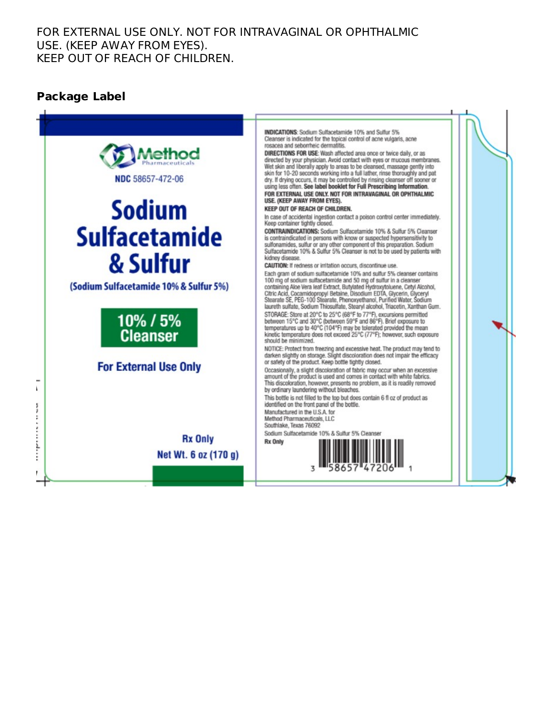### FOR EXTERNAL USE ONLY. NOT FOR INTRAVAGINAL OR OPHTHALMIC USE. (KEEP AWAY FROM EYES). KEEP OUT OF REACH OF CHILDREN.

# **Package Label**

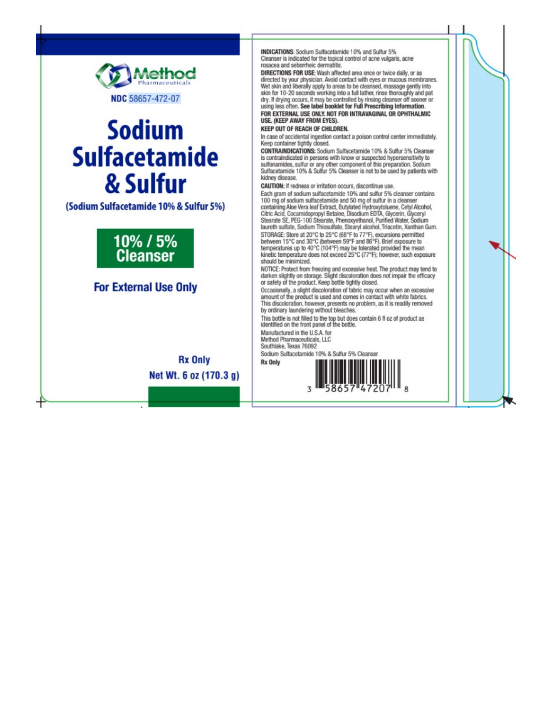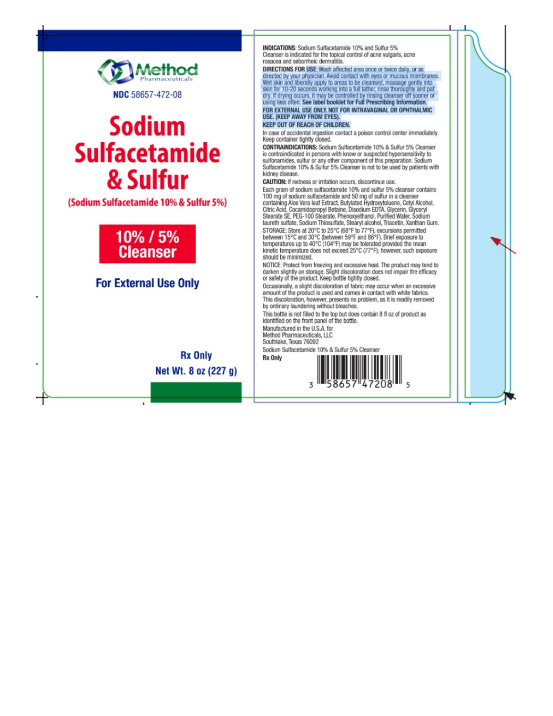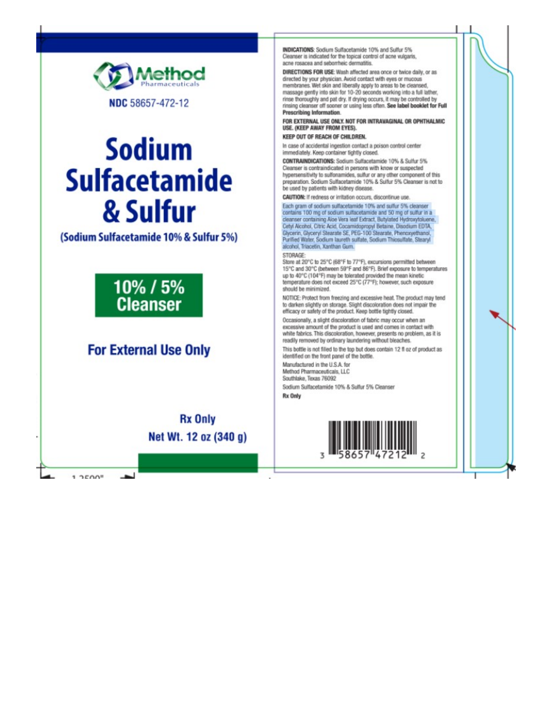

# **Sodium Sulfacetamide** & Sulfur

#### (Sodium Sulfacetamide 10% & Sulfur 5%)



# **For External Use Only**

**Rx Only** Net Wt. 12 oz (340 g)

 $1.2500$ 

INDICATIONS: Sodium Sulfacetamide 10% and Sulfur 5% Cleanser is indicated for the topical control of acne vulgaris. acne rosacea and seborheic dermatitis.

DIRECTIONS FOR USE: Wash affected area once or twice daily, or as directed by your physician. Avoid contact with eyes or mucous membranes. Wet skin and liberally apply to areas to be cleansed, massage gently into skin for 10-20 seconds working into a full lather, rinse thoroughly and pat dry. If drying occurs, it may be controlled by rinsing cleanser off sooner or using less often. See label booklet for Full Prescribing Information.

#### FOR EXTERNAL USE ONLY. NOT FOR INTRAVAGINAL OR OPHTHALMIC USE, (KEEP AWAY FROM EYES).

#### KEEP OUT OF REACH OF CHILDREN.

In case of accidental ingestion contact a poison control center immediately. Keep container tightly closed.

CONTRAINDICATIONS: Sodium Sulfacetamide 10% & Sulfur 5% Cleanser is contraindicated in persons with know or suspected hypersensitivity to sulfonamides, sulfur or any other component of this preparation. Sodium Sulfacetamide 10% & Sulfur 5% Cleanser is not to be used by patients with kidney disease.

CAUTION: If redness or irritation occurs, discontinue use.

Each gram of sodium suffacetamide 10% and sulfur 5% cleanser contains 100 mg of sodium sulfacetamide and 50 mg of sulfur in a cleanser containing Aloe Vera leaf Extract, Butylated Hydroxytoluene, Cetyl Alcohol, Citric Acid, Cocamidopropyl Betaine, Disodium EDTA,<br>Glycerin, Glyceryl Stearate SE, PEG-100 Stearate, Phencxyethanol, Purified Water, Sodium laureth sulfate, Sodium Thiosulfate, Stearyl alcohol. Triacetin. Xanthan Gum.

#### STORAGE

Store at 20°C to 25°C (68°F to 77°F), excursions permitted between 15°C and 30°C (between 59°F and 86°F). Brief exposure to temperatures up to 40°C (104°F) may be tolerated provided the mean kinetic temperature does not exceed 25°C (77°F); however, such exposure should be minimized.

NOTICE: Protect from freezing and excessive heat. The product may tend to darken slightly on storage. Slight discoloration does not impair the efficacy or safety of the product. Keep bottle tightly closed

Occasionally, a slight discoloration of fabric may occur when an excessive amount of the product is used and comes in contact with white fabrics. This discoloration, however, presents no problem, as it is readily removed by ordinary laundering without bleaches.

This bottle is not filled to the top but does contain 12 fl oz of product as identified on the front panel of the bottle.

Manufactured in the U.S.A. for Method Pharmaceuticals, LLC Southlake, Texas 76092 Sodium Sulfacetamide 10% & Sulfur 5% Cleanser

Rx Only

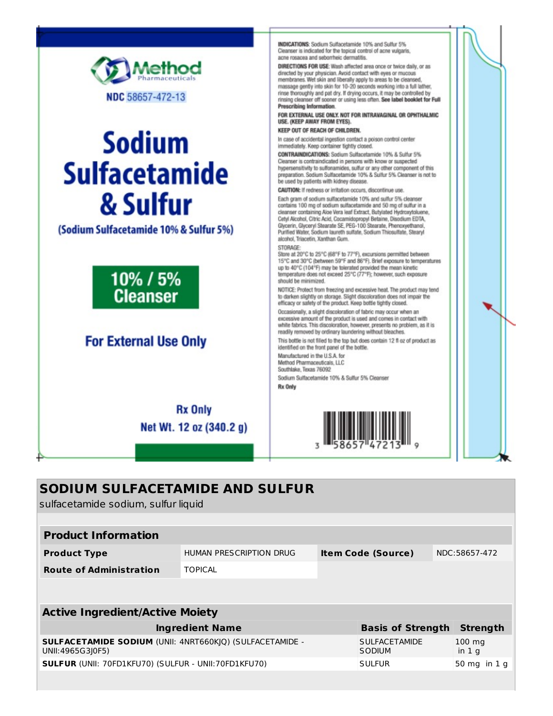

# **Sodium Sulfacetamide** & Sulfur

(Sodium Sulfacetamide 10% & Sulfur 5%)



# **For External Use Only**

**Rx Only** Net Wt. 12 oz (340.2 g) INDICATIONS: Sodium Suifacetamide 10% and Sulfur 5%. Cleanser is indicated for the topical control of acne vulcaris. acne rosacea and sebomheic dermatitis.

DIRECTIONS FOR USE: Wash affected area once or twice daily, or as directed by your physician. Avoid contact with eyes or mucous<br>membranes. Wet skin and liberally apply to areas to be cleansed, massage gently into skin for 10-20 seconds working into a full lather, rinse thoroughly and pat dry. If drying occurs, it may be controlled by rinsing cleanser off sooner or using less often. See label booklet for Full Prescribing Information.

FOR EXTERNAL USE ONLY. NOT FOR INTRAVAGINAL OR OPHTHALMIC USE. (KEEP AWAY FROM EYES).

KEEP OUT OF REACH OF CHILDREN.

In case of accidental ingestion contact a poison control center immediately. Keep container tightly closed.

CONTRAINDICATIONS: Sodium Sulfacetamide 10% & Sulfur 5% Cleanser is contraindicated in persons with know or suspected hypersensitivity to sulfonamides, sulfur or any other component of this preparation. Sodium Sulfacetamide 10% & Sulfur 5% Cleanser is not to be used by patients with kidney disease.

CAUTION: If redness or imitation occurs, discontinue use.

Each gram of sodium suffacetamide 10% and suffur 5% cleanser contains 100 mg of sodium sulfacetamide and 50 mg of sulfur in a cleanser containing Aloe Vera leaf Extract, Butylated Hydroxytoluene, Cetyl Alcohol, Citric Acid, Cocamidopropyl Betaine, Disodium EDTA, , Ceryr Accinor, Granc Acio, Cocamiaopropyr Betaine, Disocium EDJA,<br>Głycerin, Głyceryl Stearate SE, PEG-100 Stearate, Phenoxyethanol,<br>Purified Water, Sodium laureth sulfate, Sodium Thiosulfate, Stearyl alcohol, Triacetin, Xanthan Gum.

#### STORAGE:

Store at 20°C to 25°C (68°F to 77°F), excursions permitted between 15°C and 30°C (between 59°F and 86°F). Brief exposure to temperatures up to 40°C (104°F) may be tolerated provided the mean kinetic temperature does not exceed 25°C (77°F); however, such exposure should be minimized.

NOTICE: Protect from freezing and excessive heat. The product may tend to darken slightly on storage. Slight discoloration does not impair the efficacy or safety of the product. Keep bottle tightly closed.

Occasionally, a slight discoloration of fabric may occur when an excessive amount of the product is used and comes in contact with white fabrics. This discoloration, however, presents no problem, as it is readily removed by ordinary laundering without bleaches.

This bottle is not filled to the top but does contain 12 fl oz of product as identified on the front panel of the bottle.

Manufactured in the U.S.A. for Method Pharmaceuticals, LLC

Southlake, Texas 76092 Sodium Sulfacetamide 10% & Sulfur 5% Cleanser **Rx Only** 



# **SODIUM SULFACETAMIDE AND SULFUR**

sulfacetamide sodium, sulfur liquid

| <b>Product Information</b>     |                         |                           |               |
|--------------------------------|-------------------------|---------------------------|---------------|
| <b>Product Type</b>            | HUMAN PRESCRIPTION DRUG | <b>Item Code (Source)</b> | NDC:58657-472 |
| <b>Route of Administration</b> | <b>TOPICAL</b>          |                           |               |
|                                |                         |                           |               |

| <b>Active Ingredient/Active Moiety</b>                                       |                                |                             |  |  |
|------------------------------------------------------------------------------|--------------------------------|-----------------------------|--|--|
| <b>Ingredient Name</b>                                                       | <b>Basis of Strength</b>       | Strength                    |  |  |
| SULFACETAMIDE SODIUM (UNII: 4NRT660KJQ) (SULFACETAMIDE -<br>UNII:4965G310F5) | <b>SULFACETAMIDE</b><br>SODIUM | $100 \text{ mg}$<br>in $1g$ |  |  |
| <b>SULFUR (UNII: 70FD1KFU70) (SULFUR - UNII:70FD1KFU70)</b>                  | <b>SULFUR</b>                  | $50 \text{ mg}$ in 1 g      |  |  |
|                                                                              |                                |                             |  |  |